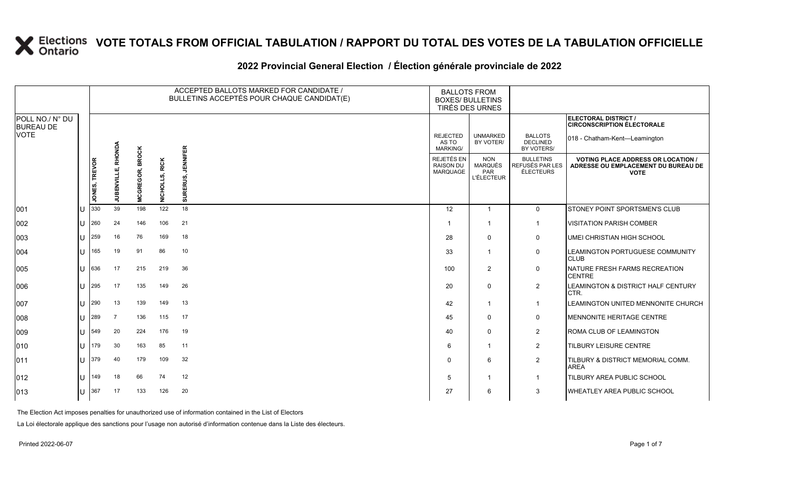#### 2022 Provincial General Election / Election générale provinciale de 2022

|                                     |    |                      |                    |                        |                | ACCEPTED BALLOTS MARKED FOR CANDIDATE /<br>BULLETINS ACCEPTÉS POUR CHAQUE CANDIDAT(E) | <b>BALLOTS FROM</b><br><b>BOXES/ BULLETINS</b><br>TIRÉS DES URNES |                                                          |                                                  |                                                                                                 |
|-------------------------------------|----|----------------------|--------------------|------------------------|----------------|---------------------------------------------------------------------------------------|-------------------------------------------------------------------|----------------------------------------------------------|--------------------------------------------------|-------------------------------------------------------------------------------------------------|
| POLL NO./ N° DU<br><b>BUREAU DE</b> |    |                      |                    |                        |                |                                                                                       |                                                                   |                                                          |                                                  | ELECTORAL DISTRICT /<br><b>CIRCONSCRIPTION ÉLECTORALE</b>                                       |
| <b>VOTE</b>                         |    |                      |                    |                        |                |                                                                                       | <b>REJECTED</b><br>AS TO<br><b>MARKING/</b>                       | <b>UNMARKED</b><br>BY VOTER/                             | <b>BALLOTS</b><br><b>DECLINED</b><br>BY VOTERS/  | 018 - Chatham-Kent-Leamington                                                                   |
|                                     |    | <b>JONES, TREVOR</b> | JUBENVILLE, RHONDA | <b>MCGREGOR, BROCK</b> | NICHOLLS, RICK | <b>JENNIFER</b><br>SURERUS,                                                           | REJETÉS EN<br><b>RAISON DU</b><br>MARQUAGE                        | <b>NON</b><br><b>MARQUÉS</b><br>PAR<br><b>L'ÉLECTEUR</b> | <b>BULLETINS</b><br>REFUSÉS PAR LES<br>ÉLECTEURS | <b>VOTING PLACE ADDRESS OR LOCATION /</b><br>ADRESSE OU EMPLACEMENT DU BUREAU DE<br><b>VOTE</b> |
| 001                                 | ΙU | 330                  | 39                 | 198                    | 122            | 18                                                                                    | 12                                                                | $\overline{1}$                                           | $\mathbf{0}$                                     | STONEY POINT SPORTSMEN'S CLUB                                                                   |
| 002                                 | lu | 260                  | 24                 | 146                    | 106            | 21                                                                                    |                                                                   | $\overline{1}$                                           | $\overline{1}$                                   | <b>VISITATION PARISH COMBER</b>                                                                 |
| 003                                 | lu | 259                  | 16                 | 76                     | 169            | 18                                                                                    | 28                                                                | $\mathbf 0$                                              | 0                                                | <b>UMEI CHRISTIAN HIGH SCHOOL</b>                                                               |
| 004                                 | Iп | 165                  | 19                 | 91                     | 86             | 10                                                                                    | 33                                                                | $\overline{1}$                                           | $\mathbf 0$                                      | <b>ILEAMINGTON PORTUGUESE COMMUNITY</b><br><b>CLUB</b>                                          |
| 005                                 | lu | 636                  | 17                 | 215                    | 219            | 36                                                                                    | 100                                                               | 2                                                        | $\mathbf 0$                                      | NATURE FRESH FARMS RECREATION<br><b>CENTRE</b>                                                  |
| 006                                 | lu | 295                  | 17                 | 135                    | 149            | 26                                                                                    | 20                                                                | $\Omega$                                                 | $\overline{2}$                                   | LEAMINGTON & DISTRICT HALF CENTURY<br>CTR.                                                      |
| 007                                 | lu | 290                  | 13                 | 139                    | 149            | 13                                                                                    | 42                                                                | $\overline{1}$                                           | $\overline{1}$                                   | <b>LEAMINGTON UNITED MENNONITE CHURCH</b>                                                       |
| 008                                 | lu | 289                  | $\overline{7}$     | 136                    | 115            | 17                                                                                    | 45                                                                | $\mathbf 0$                                              | 0                                                | MENNONITE HERITAGE CENTRE                                                                       |
| 009                                 | ΙU | 549                  | 20                 | 224                    | 176            | 19                                                                                    | 40                                                                | $\mathbf 0$                                              | $\overline{2}$                                   | <b>ROMA CLUB OF LEAMINGTON</b>                                                                  |
| $ 010\rangle$                       | lu | 179                  | 30                 | 163                    | 85             | 11                                                                                    | 6                                                                 | $\overline{1}$                                           | $\overline{2}$                                   | <b>TILBURY LEISURE CENTRE</b>                                                                   |
| $ 011\rangle$                       | lu | 379                  | 40                 | 179                    | 109            | 32                                                                                    | $\Omega$                                                          | 6                                                        | $\overline{2}$                                   | <b>TILBURY &amp; DISTRICT MEMORIAL COMM.</b><br><b>AREA</b>                                     |
| $ 012\rangle$                       | lu | 149                  | 18                 | 66                     | 74             | 12                                                                                    | .5                                                                | $\overline{1}$                                           | -1                                               | TILBURY AREA PUBLIC SCHOOL                                                                      |
| $ 013\rangle$                       | ΙU | 367                  | 17                 | 133                    | 126            | 20                                                                                    | 27                                                                | 6                                                        | 3                                                | WHEATLEY AREA PUBLIC SCHOOL                                                                     |

The Election Act imposes penalties for unauthorized use of information contained in the List of Electors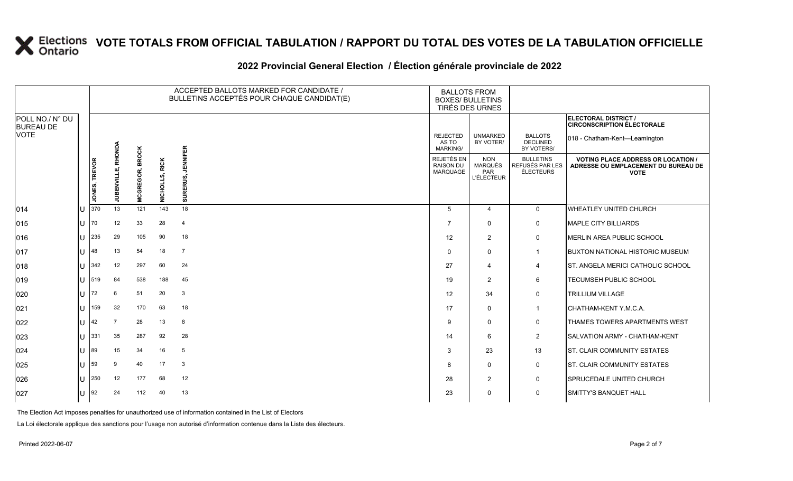## **2022 Provincial General Election / Élection générale provinciale de 2022**

|                                     |     |                      |             |                                | ACCEPTED BALLOTS MARKED FOR CANDIDATE /<br>BULLETINS ACCEPTÉS POUR CHAQUE CANDIDAT(E) | <b>BALLOTS FROM</b><br><b>BOXES/ BULLETINS</b><br>TIRÉS DES URNES |                                            |                                                          |                                                  |                                                                                                 |
|-------------------------------------|-----|----------------------|-------------|--------------------------------|---------------------------------------------------------------------------------------|-------------------------------------------------------------------|--------------------------------------------|----------------------------------------------------------|--------------------------------------------------|-------------------------------------------------------------------------------------------------|
| POLL NO./ N° DU<br><b>BUREAU DE</b> |     |                      |             |                                |                                                                                       |                                                                   |                                            |                                                          |                                                  | <b>ELECTORAL DISTRICT /</b><br><b>CIRCONSCRIPTION ÉLECTORALE</b>                                |
| <b>VOTE</b>                         |     |                      | RHONDA      |                                |                                                                                       |                                                                   | <b>REJECTED</b><br>AS TO<br>MARKING/       | <b>UNMARKED</b><br>BY VOTER/                             | <b>BALLOTS</b><br><b>DECLINED</b><br>BY VOTERS/  | 018 - Chatham-Kent-Leamington                                                                   |
|                                     |     | <b>JONES, TREVOR</b> | JUBENVILLE, | <b>BROCK</b><br>REGOR,<br>MCGI | <b>RICK</b><br>ທ່<br><b>NICHOL</b>                                                    | <b>JENNIFER</b><br>定<br>而<br>SURI                                 | REJETÉS EN<br>RAISON DU<br><b>MARQUAGE</b> | <b>NON</b><br><b>MARQUÉS</b><br>PAR<br><b>L'ÉLECTEUR</b> | <b>BULLETINS</b><br>REFUSÉS PAR LES<br>ÉLECTEURS | <b>VOTING PLACE ADDRESS OR LOCATION /</b><br>ADRESSE OU EMPLACEMENT DU BUREAU DE<br><b>VOTE</b> |
| 014                                 | IU  | 370                  | 13          | 121                            | 143                                                                                   | 18                                                                | 5                                          | $\overline{4}$                                           | $\mathbf{0}$                                     | <b>WHEATLEY UNITED CHURCH</b>                                                                   |
| 015                                 | lU. | 70                   | 12          | 33                             | 28                                                                                    | $\overline{4}$                                                    | 7                                          | $\mathbf 0$                                              | $\mathsf{O}$                                     | MAPLE CITY BILLIARDS                                                                            |
| 016                                 | Ш   | 235                  | 29          | 105                            | 90                                                                                    | 18                                                                | 12                                         | $\overline{2}$                                           | $\mathbf 0$                                      | MERLIN AREA PUBLIC SCHOOL                                                                       |
| 017                                 | IU  | 48                   | 13          | 54                             | 18                                                                                    | $\overline{7}$                                                    | $\Omega$                                   | $\mathbf 0$                                              | $\mathbf 1$                                      | <b>BUXTON NATIONAL HISTORIC MUSEUM</b>                                                          |
| 018                                 | Ш   | 342                  | 12          | 297                            | 60                                                                                    | 24                                                                | 27                                         | $\overline{4}$                                           | 4                                                | <b>ST. ANGELA MERICI CATHOLIC SCHOOL</b>                                                        |
| 019                                 | Ш   | 519                  | 84          | 538                            | 188                                                                                   | 45                                                                | 19                                         | $\overline{2}$                                           | 6                                                | <b>TECUMSEH PUBLIC SCHOOL</b>                                                                   |
| 020                                 | IU  | 72                   | 6           | 51                             | 20                                                                                    | 3                                                                 | 12                                         | 34                                                       | 0                                                | <b>TRILLIUM VILLAGE</b>                                                                         |
| 021                                 | IU  | 159                  | 32          | 170                            | 63                                                                                    | 18                                                                | 17                                         | $\Omega$                                                 | $\overline{1}$                                   | CHATHAM-KENT Y.M.C.A.                                                                           |
| 022                                 | Ш   | 42                   | 7           | 28                             | 13                                                                                    | 8                                                                 | 9                                          | $\mathbf 0$                                              | 0                                                | <b>THAMES TOWERS APARTMENTS WEST</b>                                                            |
| 023                                 | ΙU  | 331                  | 35          | 287                            | 92                                                                                    | 28                                                                | 14                                         | 6                                                        | 2                                                | <b>SALVATION ARMY - CHATHAM-KENT</b>                                                            |
| 024                                 | Ш   | 89                   | 15          | 34                             | 16                                                                                    | 5                                                                 | 3                                          | 23                                                       | 13                                               | <b>ST. CLAIR COMMUNITY ESTATES</b>                                                              |
| 025                                 | Ш   | 59                   | 9           | 40                             | 17                                                                                    | 3                                                                 | 8                                          | $\mathbf 0$                                              | 0                                                | <b>ST. CLAIR COMMUNITY ESTATES</b>                                                              |
| 026                                 | IU  | 250                  | 12          | 177                            | 68                                                                                    | 12                                                                | 28                                         | 2                                                        | $\mathsf{O}$                                     | <b>SPRUCEDALE UNITED CHURCH</b>                                                                 |
| 027                                 | IU. | 92                   | 24          | 112                            | 40                                                                                    | 13                                                                | 23                                         | $\mathbf 0$                                              | $\mathbf 0$                                      | <b>SMITTY'S BANQUET HALL</b>                                                                    |

The Election Act imposes penalties for unauthorized use of information contained in the List of Electors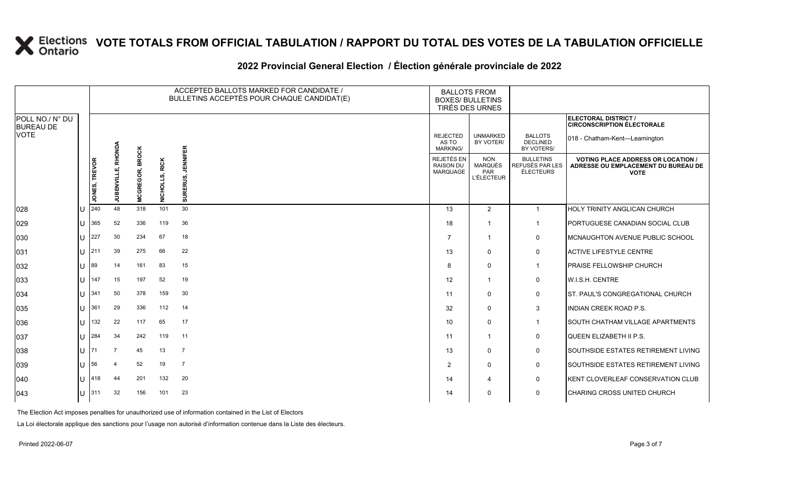## **2022 Provincial General Election / Élection générale provinciale de 2022**

|                                     |                       |                      |                    | ACCEPTED BALLOTS MARKED FOR CANDIDATE /<br>BULLETINS ACCEPTÉS POUR CHAQUE CANDIDAT(E) |                            |                           |                                                   | <b>BALLOTS FROM</b><br><b>BOXES/ BULLETINS</b><br>TIRÉS DES URNES |                                                  |                                                                                               |
|-------------------------------------|-----------------------|----------------------|--------------------|---------------------------------------------------------------------------------------|----------------------------|---------------------------|---------------------------------------------------|-------------------------------------------------------------------|--------------------------------------------------|-----------------------------------------------------------------------------------------------|
| POLL NO./ N° DU<br><b>BUREAU DE</b> |                       |                      |                    |                                                                                       |                            |                           |                                                   |                                                                   |                                                  | <b>ELECTORAL DISTRICT /</b><br><b>CIRCONSCRIPTION ÉLECTORALE</b>                              |
| <b>VOTE</b>                         |                       |                      | RHONDA             |                                                                                       |                            |                           | <b>REJECTED</b><br>AS TO<br>MARKING/              | <b>UNMARKED</b><br>BY VOTER/                                      | <b>BALLOTS</b><br><b>DECLINED</b><br>BY VOTERS/  | 018 - Chatham-Kent-Leamington                                                                 |
|                                     |                       | <b>JONES, TREVOR</b> | <b>JUBENVILLE,</b> | <b>BROCK</b><br><b>MCGREGOR,</b>                                                      | <b>RICK</b><br><b>DHOM</b> | <b>ENNIFER</b><br>∍<br>ō, | REJETÉS EN<br><b>RAISON DU</b><br><b>MARQUAGE</b> | <b>NON</b><br>MARQUÉS<br>PAR<br><b>L'ÉLECTEUR</b>                 | <b>BULLETINS</b><br>REFUSÉS PAR LES<br>ÉLECTEURS | <b>VOTING PLACE ADDRESS OR LOCATION</b><br>ADRESSE OU EMPLACEMENT DU BUREAU DE<br><b>VOTE</b> |
| 028                                 |                       | 240                  | 48                 | 318                                                                                   | 101                        | 30                        | 13                                                | 2                                                                 | $\mathbf{1}$                                     | HOLY TRINITY ANGLICAN CHURCH                                                                  |
| 029                                 | ПT                    | 365                  | 52                 | 336                                                                                   | 119                        | 36                        | 18                                                | -1                                                                | $\mathbf{1}$                                     | PORTUGUESE CANADIAN SOCIAL CLUB                                                               |
| 030                                 | Ш                     | 227                  | 30                 | 234                                                                                   | 67                         | 18                        | $\overline{7}$                                    | -1                                                                | $\mathbf 0$                                      | MCNAUGHTON AVENUE PUBLIC SCHOOL                                                               |
| 031                                 | lu-                   | 211                  | 39                 | 275                                                                                   | 66                         | 22                        | 13                                                | $\mathbf{0}$                                                      | 0                                                | <b>ACTIVE LIFESTYLE CENTRE</b>                                                                |
| 032                                 | lu                    | $ 89\rangle$         | 14                 | 161                                                                                   | 83                         | 15                        | 8                                                 | $\Omega$                                                          | $\mathbf{1}$                                     | PRAISE FELLOWSHIP CHURCH                                                                      |
| 033                                 | lU                    | 147                  | 15                 | 197                                                                                   | 52                         | 19                        | 12                                                | 1                                                                 | 0                                                | <b>W.I.S.H. CENTRE</b>                                                                        |
| 034                                 | lu                    | 341                  | 50                 | 378                                                                                   | 159                        | 30                        | 11                                                | $\Omega$                                                          | $\mathbf 0$                                      | <b>ST. PAUL'S CONGREGATIONAL CHURCH</b>                                                       |
| 035                                 | Ш                     | 361                  | 29                 | 336                                                                                   | 112                        | 14                        | 32                                                | $\mathbf{0}$                                                      | 3                                                | INDIAN CREEK ROAD P.S.                                                                        |
| 036                                 | Ш                     | 132                  | 22                 | 117                                                                                   | 65                         | 17                        | 10                                                | $\Omega$                                                          | $\mathbf{1}$                                     | SOUTH CHATHAM VILLAGE APARTMENTS                                                              |
| 037                                 | $\mathbf{U}$          | 284                  | 34                 | 242                                                                                   | 119                        | 11                        | 11                                                | -1                                                                | 0                                                | QUEEN ELIZABETH II P.S.                                                                       |
| 038                                 | $\lfloor \rfloor$  71 |                      | 7                  | 45                                                                                    | 13                         | $\overline{7}$            | 13                                                | $\mathbf{0}$                                                      | $\mathbf 0$                                      | SOUTHSIDE ESTATES RETIREMENT LIVING                                                           |
| 039                                 | lu-                   | 56                   |                    | 52                                                                                    | 19                         | $\overline{7}$            | $\overline{2}$                                    | $\Omega$                                                          | $\mathbf 0$                                      | SOUTHSIDE ESTATES RETIREMENT LIVING                                                           |
| 040                                 | Ш                     | 418                  | 44                 | 201                                                                                   | 132                        | 20                        | 14                                                | 4                                                                 | 0                                                | KENT CLOVERLEAF CONSERVATION CLUB                                                             |
| $ 043\rangle$                       |                       | $U$ 311              | 32                 | 156                                                                                   | 101                        | 23                        | 14                                                | $\Omega$                                                          | $\mathbf 0$                                      | <b>CHARING CROSS UNITED CHURCH</b>                                                            |

The Election Act imposes penalties for unauthorized use of information contained in the List of Electors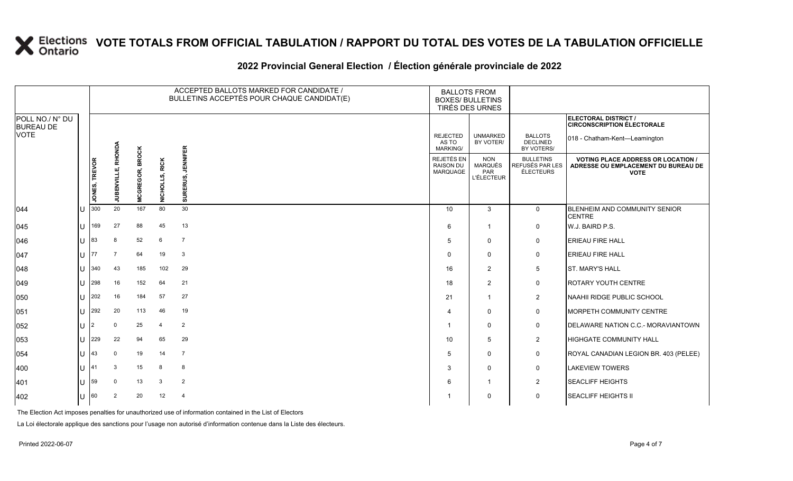# **2022 Provincial General Election / Élection générale provinciale de 2022**

|                                     |              |                      |                        | ACCEPTED BALLOTS MARKED FOR CANDIDATE /<br>BULLETINS ACCEPTÉS POUR CHAQUE CANDIDAT(E) |                |                             | <b>BALLOTS FROM</b><br><b>BOXES/ BULLETINS</b><br>TIRÉS DES URNES |                                                   |                                                         |                                                                                                 |
|-------------------------------------|--------------|----------------------|------------------------|---------------------------------------------------------------------------------------|----------------|-----------------------------|-------------------------------------------------------------------|---------------------------------------------------|---------------------------------------------------------|-------------------------------------------------------------------------------------------------|
| POLL NO./ N° DU<br><b>BUREAU DE</b> |              |                      |                        |                                                                                       |                |                             |                                                                   |                                                   |                                                         | ELECTORAL DISTRICT /<br><b>CIRCONSCRIPTION ÉLECTORALE</b>                                       |
| <b>VOTE</b>                         |              |                      | RHONDA                 |                                                                                       |                |                             | <b>REJECTED</b><br>AS TO<br>MARKING/                              | <b>UNMARKED</b><br>BY VOTER/                      | <b>BALLOTS</b><br><b>DECLINED</b><br>BY VOTERS/         | 018 - Chatham-Kent-Leamington                                                                   |
|                                     |              | <b>JONES, TREVOR</b> | шÎ<br><b>JUBENVILL</b> | <b>BROCK</b><br><b>MCGREGOR,</b>                                                      | NICHOLLS, RICK | <b>JENNIFER</b><br>SURERUS, | REJETÉS EN<br><b>RAISON DU</b><br>MARQUAGE                        | <b>NON</b><br>MARQUÉS<br>PAR<br><b>L'ÉLECTEUR</b> | <b>BULLETINS</b><br>REFUSÉS PAR LES<br><b>ÉLECTEURS</b> | <b>VOTING PLACE ADDRESS OR LOCATION /</b><br>ADRESSE OU EMPLACEMENT DU BUREAU DE<br><b>VOTE</b> |
| 044                                 |              | 300                  | 20                     | 167                                                                                   | 80             | 30                          | 10                                                                | 3                                                 | $\mathbf 0$                                             | <b>BLENHEIM AND COMMUNITY SENIOR</b><br><b>CENTRE</b>                                           |
| 045                                 | U            | 169                  | 27                     | 88                                                                                    | 45             | 13                          | 6                                                                 | $\mathbf 1$                                       | 0                                                       | W.J. BAIRD P.S.                                                                                 |
| 046                                 |              | 83                   | 8                      | 52                                                                                    | 6              | $\overline{7}$              | 5                                                                 | $\mathbf{0}$                                      | $\mathbf 0$                                             | <b>ERIEAU FIRE HALL</b>                                                                         |
| 047                                 | $\mathbf{H}$ | 77                   | 7                      | 64                                                                                    | 19             | 3                           | $\Omega$                                                          | $\mathbf{0}$                                      | 0                                                       | <b>ERIEAU FIRE HALL</b>                                                                         |
| 048                                 | U            | 340                  | 43                     | 185                                                                                   | 102            | 29                          | 16                                                                | 2                                                 | 5                                                       | <b>ST. MARY'S HALL</b>                                                                          |
| 049                                 |              | 298                  | 16                     | 152                                                                                   | 64             | 21                          | 18                                                                | 2                                                 | 0                                                       | <b>ROTARY YOUTH CENTRE</b>                                                                      |
| 050                                 |              | 202                  | 16                     | 184                                                                                   | 57             | 27                          | 21                                                                | $\mathbf{1}$                                      | $\overline{2}$                                          | NAAHII RIDGE PUBLIC SCHOOL                                                                      |
| 051                                 | $U$ .        | 292                  | 20                     | 113                                                                                   | 46             | 19                          | 4                                                                 | $\Omega$                                          | $\mathbf 0$                                             | MORPETH COMMUNITY CENTRE                                                                        |
| 052                                 | <b>U</b>     |                      | $\mathbf 0$            | 25                                                                                    | $\overline{4}$ | 2                           | -1                                                                | $\mathbf{0}$                                      | 0                                                       | DELAWARE NATION C.C.- MORAVIANTOWN                                                              |
| 053                                 |              | 229                  | 22                     | 94                                                                                    | 65             | 29                          | 10                                                                | 5                                                 | $\overline{2}$                                          | <b>HIGHGATE COMMUNITY HALL</b>                                                                  |
| 054                                 | U            | 43                   | $\mathbf 0$            | 19                                                                                    | 14             | $\overline{7}$              | 5                                                                 | $\mathbf 0$                                       | 0                                                       | ROYAL CANADIAN LEGION BR. 403 (PELEE)                                                           |
| 400                                 |              | 41                   | 3                      | 15                                                                                    | 8              | 8                           | 3                                                                 | $\Omega$                                          | $\mathbf 0$                                             | <b>LAKEVIEW TOWERS</b>                                                                          |
| 401                                 |              | 59                   | $\mathbf 0$            | 13                                                                                    | 3              | $\overline{2}$              | 6                                                                 | -1                                                | $\overline{2}$                                          | <b>SEACLIFF HEIGHTS</b>                                                                         |
| 402                                 |              | 60                   | $\overline{2}$         | 20                                                                                    | 12             | $\overline{4}$              |                                                                   | $\mathbf{0}$                                      | 0                                                       | <b>SEACLIFF HEIGHTS II</b>                                                                      |

The Election Act imposes penalties for unauthorized use of information contained in the List of Electors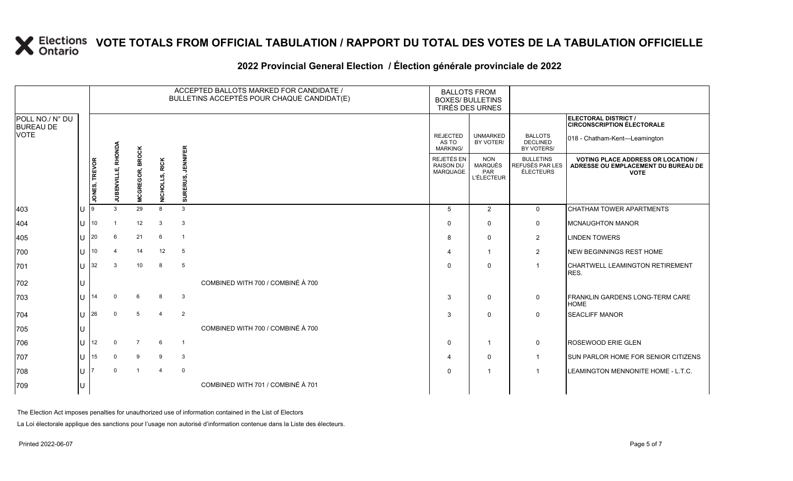### **2022 Provincial General Election / Élection générale provinciale de 2022**

|                                     |              |                  |             |                        |                |                  | ACCEPTED BALLOTS MARKED FOR CANDIDATE /<br>BULLETINS ACCEPTÉS POUR CHAQUE CANDIDAT(E) | <b>BALLOTS FROM</b><br><b>BOXES/ BULLETINS</b><br>TIRÉS DES URNES |                                                   |                                                         |                                                                                                 |
|-------------------------------------|--------------|------------------|-------------|------------------------|----------------|------------------|---------------------------------------------------------------------------------------|-------------------------------------------------------------------|---------------------------------------------------|---------------------------------------------------------|-------------------------------------------------------------------------------------------------|
| POLL NO./ N° DU<br><b>BUREAU DE</b> |              |                  |             |                        |                |                  |                                                                                       |                                                                   |                                                   |                                                         | ELECTORAL DISTRICT /<br><b>CIRCONSCRIPTION ÉLECTORALE</b>                                       |
| <b>VOTE</b>                         |              |                  | RHONDA      |                        |                |                  |                                                                                       | <b>REJECTED</b><br>AS TO<br>MARKING/                              | <b>UNMARKED</b><br>BY VOTER/                      | <b>BALLOTS</b><br><b>DECLINED</b><br>BY VOTERS/         | 018 - Chatham-Kent-Leamington                                                                   |
|                                     |              | JONES, TREVOR    | JUBENVILLE, | <b>MCGREGOR, BROCK</b> | NICHOLLS, RICK | JENNIFER<br>RUS, |                                                                                       | REJETÉS EN<br><b>RAISON DU</b><br>MARQUAGE                        | <b>NON</b><br>MARQUÉS<br>PAR<br><b>L'ÉLECTEUR</b> | <b>BULLETINS</b><br>REFUSÉS PAR LES<br><b>ÉLECTEURS</b> | <b>VOTING PLACE ADDRESS OR LOCATION /</b><br>ADRESSE OU EMPLACEMENT DU BUREAU DE<br><b>VOTE</b> |
|                                     |              |                  |             |                        |                | ∍<br>ō,          |                                                                                       |                                                                   |                                                   |                                                         |                                                                                                 |
| 403                                 |              |                  |             | 29                     | 8              | 3                |                                                                                       | 5                                                                 | 2                                                 | $\mathbf 0$                                             | <b>CHATHAM TOWER APARTMENTS</b>                                                                 |
| 404                                 | U            | 10 <sup>10</sup> |             | 12                     | 3              | $\mathbf{3}$     |                                                                                       | $\Omega$                                                          | $\mathbf{0}$                                      | 0                                                       | <b>MCNAUGHTON MANOR</b>                                                                         |
| 405                                 | U            | 20               | 6           | 21                     | 6              | $\overline{1}$   |                                                                                       | 8                                                                 | $\mathbf{0}$                                      | $\overline{2}$                                          | <b>LINDEN TOWERS</b>                                                                            |
| 700                                 | U            | 10               |             | 14                     | 12             | $5\phantom{.0}$  |                                                                                       |                                                                   | $\overline{1}$                                    | $\overline{2}$                                          | <b>INEW BEGINNINGS REST HOME</b>                                                                |
| 701                                 | $\mathbf{U}$ | 32               | 3           | 10                     | 8              | 5                |                                                                                       | $\Omega$                                                          | $\mathbf{0}$                                      |                                                         | CHARTWELL LEAMINGTON RETIREMENT<br>RES.                                                         |
| 702                                 |              |                  |             |                        |                |                  | COMBINED WITH 700 / COMBINÉ À 700                                                     |                                                                   |                                                   |                                                         |                                                                                                 |
| 703                                 | U            | 14               | $\Omega$    | $6\overline{6}$        | 8              | $\mathbf{3}$     |                                                                                       | 3                                                                 | $\mathbf 0$                                       | 0                                                       | <b>FRANKLIN GARDENS LONG-TERM CARE</b><br><b>HOME</b>                                           |
| 704                                 | U            | I26              | $\Omega$    | 5                      | $\overline{4}$ | 2                |                                                                                       | 3                                                                 | $\mathbf{0}$                                      | $\Omega$                                                | <b>SEACLIFF MANOR</b>                                                                           |
| 705                                 |              |                  |             |                        |                |                  | COMBINED WITH 700 / COMBINÉ À 700                                                     |                                                                   |                                                   |                                                         |                                                                                                 |
| 706                                 | U            | 12               | $\Omega$    | $\overline{7}$         | 6              | $\overline{1}$   |                                                                                       | $\Omega$                                                          | $\overline{\mathbf{1}}$                           | 0                                                       | <b>ROSEWOOD ERIE GLEN</b>                                                                       |
| 707                                 | U            | 15               | $\mathbf 0$ | 9                      | 9              | $\mathbf{3}$     |                                                                                       |                                                                   | $\mathbf{0}$                                      | -1                                                      | <b>SUN PARLOR HOME FOR SENIOR CITIZENS</b>                                                      |
| 708                                 | U            |                  | $\Omega$    | $\overline{1}$         | $\overline{4}$ | $\mathbf 0$      |                                                                                       | $\Omega$                                                          | $\overline{\mathbf{1}}$                           |                                                         | LEAMINGTON MENNONITE HOME - L.T.C.                                                              |
| 709                                 |              |                  |             |                        |                |                  | COMBINED WITH 701 / COMBINÉ À 701                                                     |                                                                   |                                                   |                                                         |                                                                                                 |

The Election Act imposes penalties for unauthorized use of information contained in the List of Electors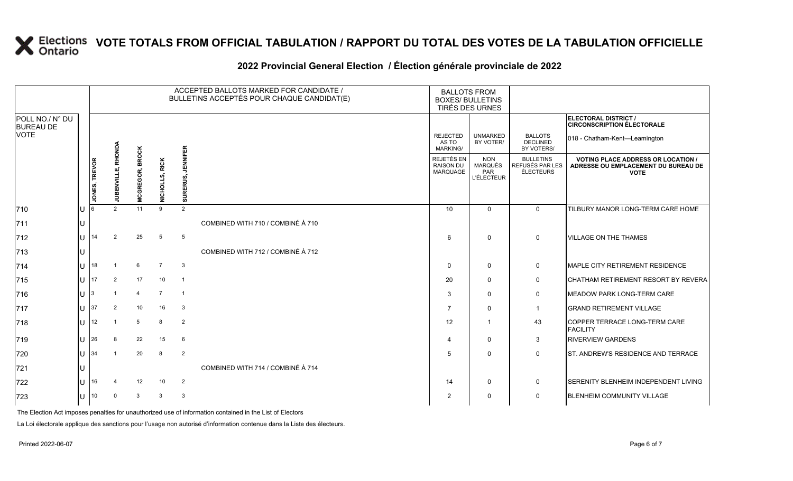## **2022 Provincial General Election / Élection générale provinciale de 2022**

|                                     |          |                      |                 |                                |                            |                | ACCEPTED BALLOTS MARKED FOR CANDIDATE /<br>BULLETINS ACCEPTÉS POUR CHAQUE CANDIDAT(E) | <b>BALLOTS FROM</b><br><b>BOXES/ BULLETINS</b> | TIRÉS DES URNES                                   |                                                  |                                                                                               |
|-------------------------------------|----------|----------------------|-----------------|--------------------------------|----------------------------|----------------|---------------------------------------------------------------------------------------|------------------------------------------------|---------------------------------------------------|--------------------------------------------------|-----------------------------------------------------------------------------------------------|
| POLL NO./ N° DU<br><b>BUREAU DE</b> |          |                      |                 |                                |                            |                |                                                                                       |                                                |                                                   |                                                  | ELECTORAL DISTRICT /<br><b>CIRCONSCRIPTION ÉLECTORALE</b>                                     |
| VOTE                                |          |                      | RHONDA          |                                |                            | IEER           |                                                                                       | <b>REJECTED</b><br>AS TO<br><b>MARKING/</b>    | <b>UNMARKED</b><br>BY VOTER/                      | <b>BALLOTS</b><br><b>DECLINED</b><br>BY VOTERS/  | 018 - Chatham-Kent-Leamington                                                                 |
|                                     |          | <b>JONES, TREVOR</b> | щĵ<br>JUBENVILL | <b>BROCK</b><br>CGREGOR,<br>ž. | .S, RICK<br><b>NICHOLL</b> | ā              |                                                                                       | REJETÉS EN<br>RAISON DU<br>MARQUAGE            | <b>NON</b><br>MARQUÉS<br>PAR<br><b>L'ÉLECTEUR</b> | <b>BULLETINS</b><br>REFUSÉS PAR LES<br>ÉLECTEURS | <b>VOTING PLACE ADDRESS OR LOCATION</b><br>ADRESSE OU EMPLACEMENT DU BUREAU DE<br><b>VOTE</b> |
| 710                                 | IU       |                      | $\mathcal{P}$   | 11                             | 9                          | 2              |                                                                                       | 10                                             | $\mathbf 0$                                       | $\mathbf{0}$                                     | TILBURY MANOR LONG-TERM CARE HOME                                                             |
| 711                                 | IU       |                      |                 |                                |                            |                | COMBINED WITH 710 / COMBINÉ À 710                                                     |                                                |                                                   |                                                  |                                                                                               |
| 712                                 | IП       | 14                   |                 | 25                             | 5                          | 5              |                                                                                       | 6                                              | $\Omega$                                          | 0                                                | <b>VILLAGE ON THE THAMES</b>                                                                  |
| 713                                 | IU       |                      |                 |                                |                            |                | COMBINED WITH 712 / COMBINÉ À 712                                                     |                                                |                                                   |                                                  |                                                                                               |
| 714                                 | ΠT       | 18                   |                 | 6                              | $\overline{7}$             | $\mathbf{3}$   |                                                                                       | 0                                              | 0                                                 | 0                                                | MAPLE CITY RETIREMENT RESIDENCE                                                               |
| 715                                 | lu-      | 17                   | 2               | 17                             | 10                         | $\overline{1}$ |                                                                                       | 20                                             | $\mathbf{0}$                                      | $\mathbf 0$                                      | ICHATHAM RETIREMENT RESORT BY REVERA                                                          |
| 716                                 | lU.      | 3                    |                 | $\overline{4}$                 | $\overline{7}$             | $\mathbf{1}$   |                                                                                       | 3                                              | 0                                                 | 0                                                | MEADOW PARK LONG-TERM CARE                                                                    |
| 717                                 | $ U $ 37 |                      | 2               | 10                             | 16                         | 3              |                                                                                       | -7                                             | $\Omega$                                          | $\mathbf 1$                                      | <b>GRAND RETIREMENT VILLAGE</b>                                                               |
| 718                                 | lU       | 12                   |                 | 5                              | 8                          | $\overline{2}$ |                                                                                       | 12                                             |                                                   | 43                                               | COPPER TERRACE LONG-TERM CARE<br><b>FACILITY</b>                                              |
| 719                                 | lU.      | 26                   | 8               | 22                             | 15                         | 6              |                                                                                       | $\boldsymbol{\varDelta}$                       | $\Omega$                                          | 3                                                | <b>RIVERVIEW GARDENS</b>                                                                      |
| 720                                 | IU.      | 34                   |                 | 20                             | 8                          | $\overline{2}$ |                                                                                       | -5                                             | $\Omega$                                          | 0                                                | ST. ANDREW'S RESIDENCE AND TERRACE                                                            |
| 721                                 |          |                      |                 |                                |                            |                | COMBINED WITH 714 / COMBINÉ À 714                                                     |                                                |                                                   |                                                  |                                                                                               |
| 722                                 | IU.      | 16                   |                 | 12                             | 10                         | $\overline{2}$ |                                                                                       | 14                                             | 0                                                 | 0                                                | SERENITY BLENHEIM INDEPENDENT LIVING                                                          |
| 723                                 | lU.      | 10                   | $\Omega$        | 3                              | $\mathbf{3}$               | $\mathbf{3}$   |                                                                                       | 2                                              | 0                                                 | 0                                                | <b>BLENHEIM COMMUNITY VILLAGE</b>                                                             |

The Election Act imposes penalties for unauthorized use of information contained in the List of Electors